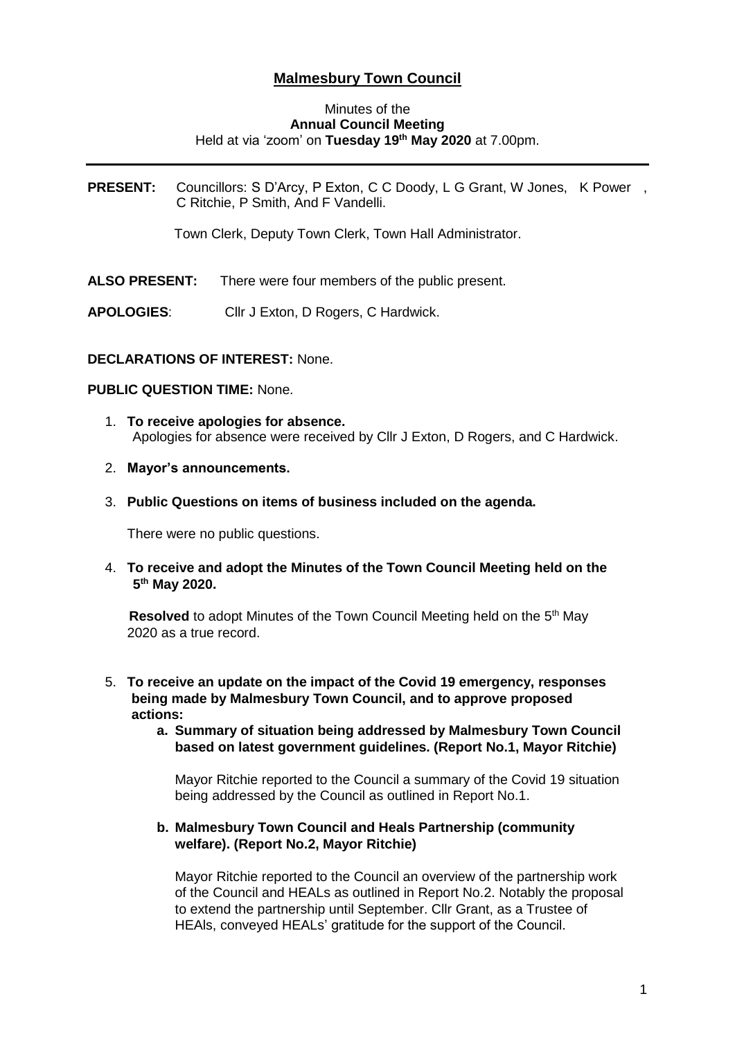# **Malmesbury Town Council**

#### Minutes of the **Annual Council Meeting** Held at via 'zoom' on **Tuesday 19th May 2020** at 7.00pm.

**PRESENT:** Councillors: S D'Arcy, P Exton, C C Doody, L G Grant, W Jones, K Power , C Ritchie, P Smith, And F Vandelli.

Town Clerk, Deputy Town Clerk, Town Hall Administrator.

- **ALSO PRESENT:** There were four members of the public present.
- **APOLOGIES**: Cllr J Exton, D Rogers, C Hardwick.

#### **DECLARATIONS OF INTEREST:** None.

#### **PUBLIC QUESTION TIME:** None.

- 1. **To receive apologies for absence.** Apologies for absence were received by Cllr J Exton, D Rogers, and C Hardwick.
- 2. **Mayor's announcements.**
- 3. **Public Questions on items of business included on the agenda.**

There were no public questions.

4. **To receive and adopt the Minutes of the Town Council Meeting held on the 5 th May 2020.**

Resolved to adopt Minutes of the Town Council Meeting held on the 5<sup>th</sup> May 2020 as a true record.

- 5. **To receive an update on the impact of the Covid 19 emergency, responses being made by Malmesbury Town Council, and to approve proposed actions:**
	- **a. Summary of situation being addressed by Malmesbury Town Council based on latest government guidelines. (Report No.1, Mayor Ritchie)**

Mayor Ritchie reported to the Council a summary of the Covid 19 situation being addressed by the Council as outlined in Report No.1.

#### **b. Malmesbury Town Council and Heals Partnership (community welfare). (Report No.2, Mayor Ritchie)**

Mayor Ritchie reported to the Council an overview of the partnership work of the Council and HEALs as outlined in Report No.2. Notably the proposal to extend the partnership until September. Cllr Grant, as a Trustee of HEAls, conveyed HEALs' gratitude for the support of the Council.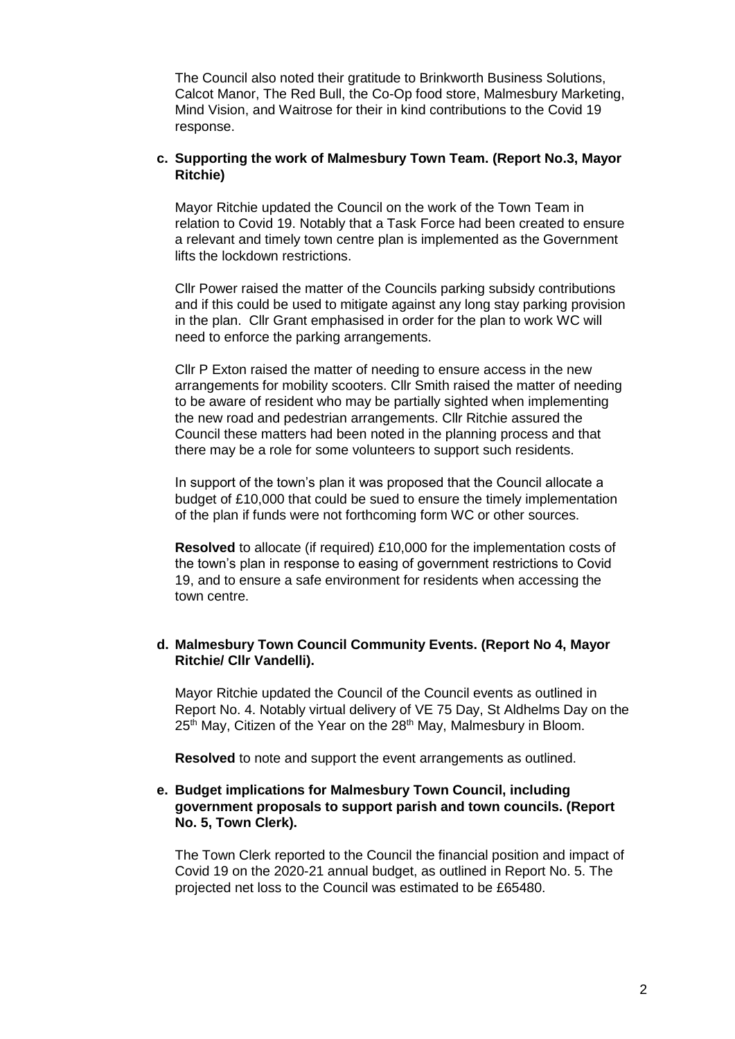The Council also noted their gratitude to Brinkworth Business Solutions, Calcot Manor, The Red Bull, the Co-Op food store, Malmesbury Marketing, Mind Vision, and Waitrose for their in kind contributions to the Covid 19 response.

# **c. Supporting the work of Malmesbury Town Team. (Report No.3, Mayor Ritchie)**

Mayor Ritchie updated the Council on the work of the Town Team in relation to Covid 19. Notably that a Task Force had been created to ensure a relevant and timely town centre plan is implemented as the Government lifts the lockdown restrictions.

Cllr Power raised the matter of the Councils parking subsidy contributions and if this could be used to mitigate against any long stay parking provision in the plan. Cllr Grant emphasised in order for the plan to work WC will need to enforce the parking arrangements.

Cllr P Exton raised the matter of needing to ensure access in the new arrangements for mobility scooters. Cllr Smith raised the matter of needing to be aware of resident who may be partially sighted when implementing the new road and pedestrian arrangements. Cllr Ritchie assured the Council these matters had been noted in the planning process and that there may be a role for some volunteers to support such residents.

In support of the town's plan it was proposed that the Council allocate a budget of £10,000 that could be sued to ensure the timely implementation of the plan if funds were not forthcoming form WC or other sources.

**Resolved** to allocate (if required) £10,000 for the implementation costs of the town's plan in response to easing of government restrictions to Covid 19, and to ensure a safe environment for residents when accessing the town centre.

# **d. Malmesbury Town Council Community Events. (Report No 4, Mayor Ritchie/ Cllr Vandelli).**

Mayor Ritchie updated the Council of the Council events as outlined in Report No. 4. Notably virtual delivery of VE 75 Day, St Aldhelms Day on the  $25<sup>th</sup>$  May, Citizen of the Year on the  $28<sup>th</sup>$  May, Malmesbury in Bloom.

**Resolved** to note and support the event arrangements as outlined.

# **e. Budget implications for Malmesbury Town Council, including government proposals to support parish and town councils. (Report No. 5, Town Clerk).**

The Town Clerk reported to the Council the financial position and impact of Covid 19 on the 2020-21 annual budget, as outlined in Report No. 5. The projected net loss to the Council was estimated to be £65480.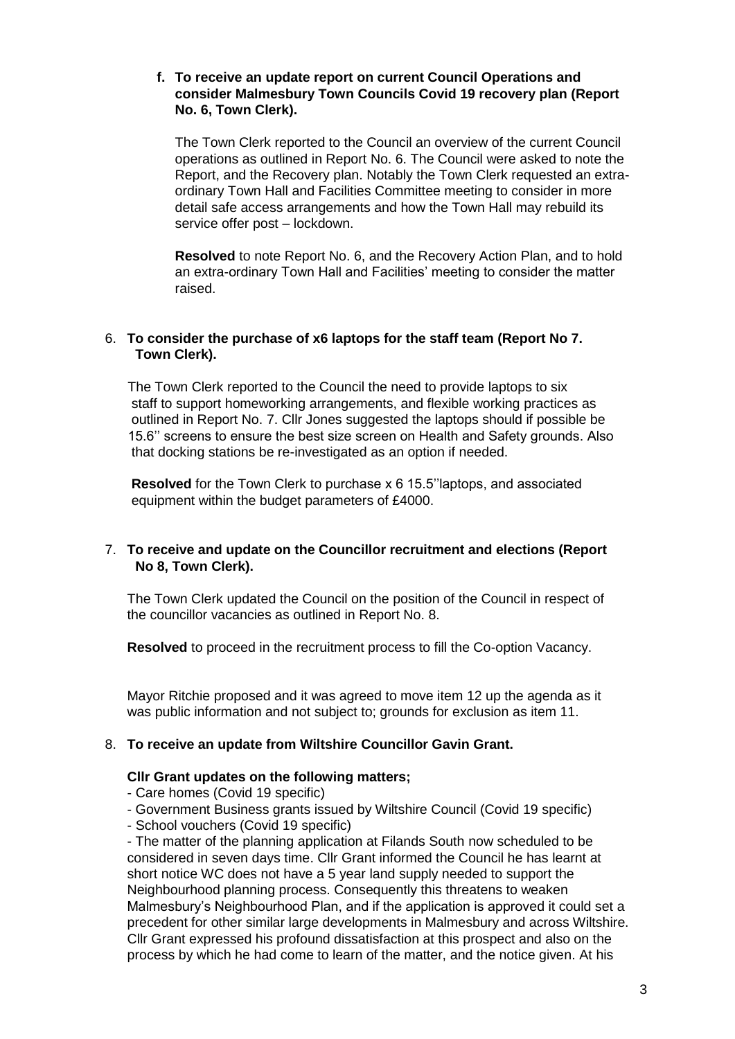# **f. To receive an update report on current Council Operations and consider Malmesbury Town Councils Covid 19 recovery plan (Report No. 6, Town Clerk).**

The Town Clerk reported to the Council an overview of the current Council operations as outlined in Report No. 6. The Council were asked to note the Report, and the Recovery plan. Notably the Town Clerk requested an extraordinary Town Hall and Facilities Committee meeting to consider in more detail safe access arrangements and how the Town Hall may rebuild its service offer post – lockdown.

**Resolved** to note Report No. 6, and the Recovery Action Plan, and to hold an extra-ordinary Town Hall and Facilities' meeting to consider the matter raised.

# 6. **To consider the purchase of x6 laptops for the staff team (Report No 7. Town Clerk).**

The Town Clerk reported to the Council the need to provide laptops to six staff to support homeworking arrangements, and flexible working practices as outlined in Report No. 7. Cllr Jones suggested the laptops should if possible be 15.6'' screens to ensure the best size screen on Health and Safety grounds. Also that docking stations be re-investigated as an option if needed.

 **Resolved** for the Town Clerk to purchase x 6 15.5''laptops, and associated equipment within the budget parameters of £4000.

# 7. **To receive and update on the Councillor recruitment and elections (Report No 8, Town Clerk).**

The Town Clerk updated the Council on the position of the Council in respect of the councillor vacancies as outlined in Report No. 8.

**Resolved** to proceed in the recruitment process to fill the Co-option Vacancy.

Mayor Ritchie proposed and it was agreed to move item 12 up the agenda as it was public information and not subject to; grounds for exclusion as item 11.

# 8. **To receive an update from Wiltshire Councillor Gavin Grant.**

#### **Cllr Grant updates on the following matters;**

- Care homes (Covid 19 specific)
- Government Business grants issued by Wiltshire Council (Covid 19 specific)
- School vouchers (Covid 19 specific)

- The matter of the planning application at Filands South now scheduled to be considered in seven days time. Cllr Grant informed the Council he has learnt at short notice WC does not have a 5 year land supply needed to support the Neighbourhood planning process. Consequently this threatens to weaken Malmesbury's Neighbourhood Plan, and if the application is approved it could set a precedent for other similar large developments in Malmesbury and across Wiltshire. Cllr Grant expressed his profound dissatisfaction at this prospect and also on the process by which he had come to learn of the matter, and the notice given. At his